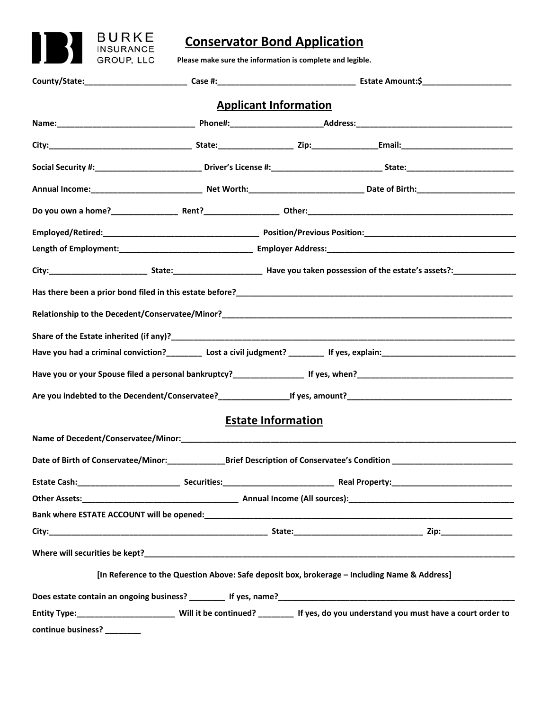

# **Conservator Bond Application**

**Please make sure the information is complete and legible.** 

|                    |                                                                                              | <b>Applicant Information</b> |                                                                                                                                                                                                                                |  |
|--------------------|----------------------------------------------------------------------------------------------|------------------------------|--------------------------------------------------------------------------------------------------------------------------------------------------------------------------------------------------------------------------------|--|
|                    |                                                                                              |                              |                                                                                                                                                                                                                                |  |
|                    |                                                                                              |                              |                                                                                                                                                                                                                                |  |
|                    |                                                                                              |                              |                                                                                                                                                                                                                                |  |
|                    |                                                                                              |                              |                                                                                                                                                                                                                                |  |
|                    |                                                                                              |                              |                                                                                                                                                                                                                                |  |
|                    |                                                                                              |                              |                                                                                                                                                                                                                                |  |
|                    |                                                                                              |                              |                                                                                                                                                                                                                                |  |
|                    |                                                                                              |                              |                                                                                                                                                                                                                                |  |
|                    |                                                                                              |                              |                                                                                                                                                                                                                                |  |
|                    |                                                                                              |                              | Relationship to the Decedent/Conservatee/Minor? Name of the control of the control of the control of the control of the control of the control of the control of the control of the control of the control of the control of t |  |
|                    |                                                                                              |                              |                                                                                                                                                                                                                                |  |
|                    |                                                                                              |                              |                                                                                                                                                                                                                                |  |
|                    |                                                                                              |                              |                                                                                                                                                                                                                                |  |
|                    |                                                                                              |                              |                                                                                                                                                                                                                                |  |
|                    |                                                                                              | <b>Estate Information</b>    |                                                                                                                                                                                                                                |  |
|                    |                                                                                              |                              |                                                                                                                                                                                                                                |  |
|                    |                                                                                              |                              |                                                                                                                                                                                                                                |  |
|                    |                                                                                              |                              |                                                                                                                                                                                                                                |  |
|                    |                                                                                              |                              |                                                                                                                                                                                                                                |  |
|                    |                                                                                              |                              |                                                                                                                                                                                                                                |  |
|                    |                                                                                              |                              |                                                                                                                                                                                                                                |  |
|                    |                                                                                              |                              |                                                                                                                                                                                                                                |  |
|                    | [In Reference to the Question Above: Safe deposit box, brokerage - Including Name & Address] |                              |                                                                                                                                                                                                                                |  |
|                    |                                                                                              |                              |                                                                                                                                                                                                                                |  |
|                    |                                                                                              |                              | Entity Type:__________________________Will it be continued? _________ If yes, do you understand you must have a court order to                                                                                                 |  |
| continue business? |                                                                                              |                              |                                                                                                                                                                                                                                |  |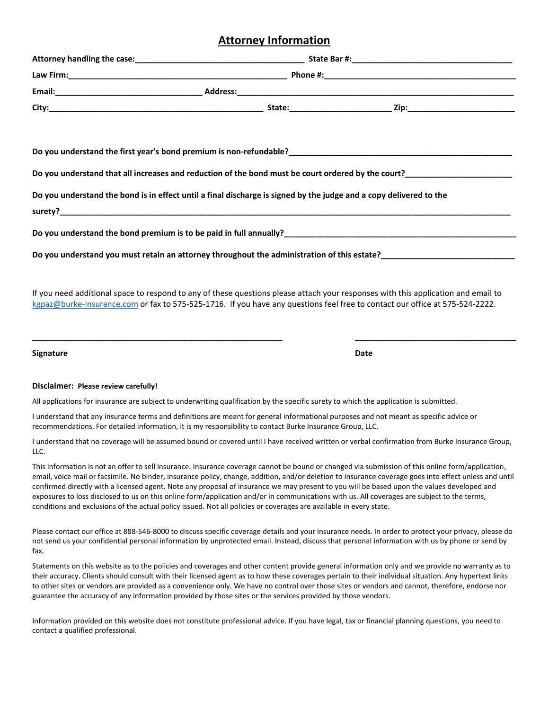## **Attorney Information**

|                                                                                                                                                                                                                                                                   |  | Do you understand that all increases and reduction of the bond must be court ordered by the court?<br>Under the court? |  |
|-------------------------------------------------------------------------------------------------------------------------------------------------------------------------------------------------------------------------------------------------------------------|--|------------------------------------------------------------------------------------------------------------------------|--|
| Do you understand the bond is in effect until a final discharge is signed by the judge and a copy delivered to the                                                                                                                                                |  |                                                                                                                        |  |
|                                                                                                                                                                                                                                                                   |  |                                                                                                                        |  |
|                                                                                                                                                                                                                                                                   |  |                                                                                                                        |  |
| If you need additional space to respond to any of these questions please attach your responses with this application and email to<br>kgpaz@burke-insurance.com or fax to 575-525-1716. If you have any questions feel free to contact our office at 575-524-2222. |  |                                                                                                                        |  |

**Signature Date** 

### **Disclaimer: Please review carefully!**

All applications for insurance are subject to underwriting qualification by the specific surety to which the application is submitted.

I understand that any insurance terms and definitions are meant for general informational purposes and not meant as specific advice or recommendations. For detailed information, it is my responsibility to contact Burke Insurance Group, LLC.

I understand that no coverage will be assumed bound or covered until I have received written or verbal confirmation from Burke Insurance Group, LLC.

**\_\_\_\_\_\_\_\_\_\_\_\_\_\_\_\_\_\_\_\_\_\_\_\_\_\_\_\_\_\_\_\_\_\_\_\_\_\_\_\_\_\_\_\_\_\_\_\_\_\_\_\_\_\_\_\_ \_\_\_\_\_\_\_\_\_\_\_\_\_\_\_\_\_\_\_\_\_\_\_\_\_\_\_\_\_\_\_\_\_\_\_\_** 

This information is not an offer to sell insurance. Insurance coverage cannot be bound or changed via submission of this online form/application, email, voice mail or facsimile. No binder, insurance policy, change, addition, and/or deletion to insurance coverage goes into effect unless and until confirmed directly with a licensed agent. Note any proposal of insurance we may present to you will be based upon the values developed and exposures to loss disclosed to us on this online form/application and/or in communications with us. All coverages are subject to the terms, conditions and exclusions of the actual policy issued. Not all policies or coverages are available in every state.

Please contact our office at 888‐546‐8000 to discuss specific coverage details and your insurance needs. In order to protect your privacy, please do not send us your confidential personal information by unprotected email. Instead, discuss that personal information with us by phone or send by fax.

Statements on this website as to the policies and coverages and other content provide general information only and we provide no warranty as to their accuracy. Clients should consult with their licensed agent as to how these coverages pertain to their individual situation. Any hypertext links to other sites or vendors are provided as a convenience only. We have no control over those sites or vendors and cannot, therefore, endorse nor guarantee the accuracy of any information provided by those sites or the services provided by those vendors.

Information provided on this website does not constitute professional advice. If you have legal, tax or financial planning questions, you need to contact a qualified professional.